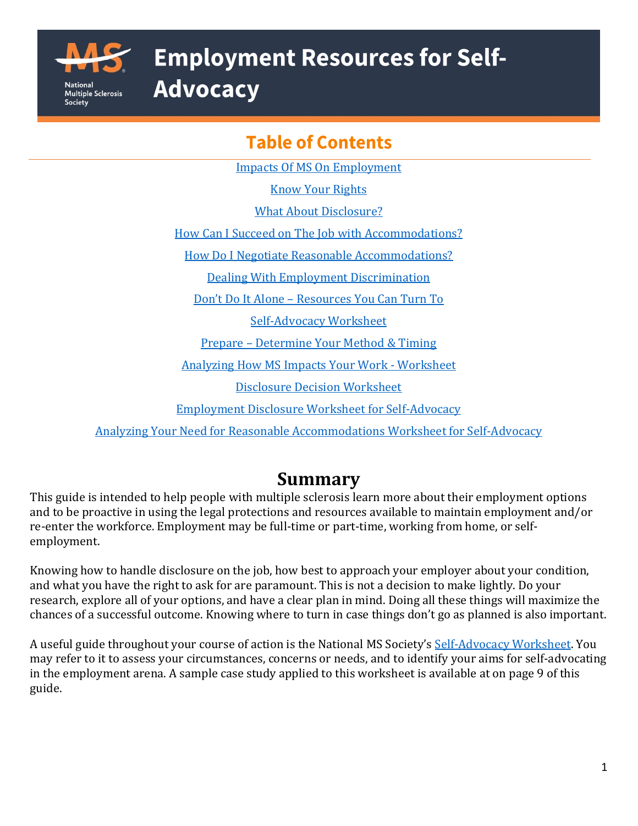

# **Employment Resources for Self-**

**Advocacy** 

# **Table of Contents**

[Impacts Of MS On Employment](#page-1-0)

[Know Your Rights](#page-1-1)

[What About Disclosure?](#page-2-0)

[How Can I Succeed on The Job with Accommodations?](#page-3-0)

[How Do I Negotiate Reasonable Accommodations?](#page-3-1)

[Dealing With Employment Discrimination](#page-3-2)

Don't Do It Alone – [Resources You Can Turn To](#page-4-0)

[Self-Advocacy Worksheet](#page-6-0)

Prepare – [Determine Your Method & Timing](#page-9-0)

[Analyzing How MS Impacts Your Work -](#page-11-0) Worksheet

[Disclosure Decision Worksheet](#page-13-0)

[Employment Disclosure Worksheet](#page-14-0) for Self-Advocacy

Analyzing Your Need for [Reasonable Accommodations Worksheet for Self-Advocacy](#page-16-0)

# **Summary**

This guide is intended to help people with multiple sclerosis learn more about their employment options and to be proactive in using the legal protections and resources available to maintain employment and/or re-enter the workforce. Employment may be full-time or part-time, working from home, or selfemployment.

Knowing how to handle disclosure on the job, how best to approach your employer about your condition, and what you have the right to ask for are paramount. This is not a decision to make lightly. Do your research, explore all of your options, and have a clear plan in mind. Doing all these things will maximize the chances of a successful outcome. Knowing where to turn in case things don't go as planned is also important.

A useful guide throughout your course of action is the National MS Society's [Self-Advocacy Worksheet.](https://www.nationalmssociety.org/NationalMSSociety/media/MSNationalFiles/Brochures/Paper-Self-Advocacy-Worksheet.pdf) You may refer to it to assess your circumstances, concerns or needs, and to identify your aims for self-advocating in the employment arena. A sample case study applied to this worksheet is available at on page 9 of this guide.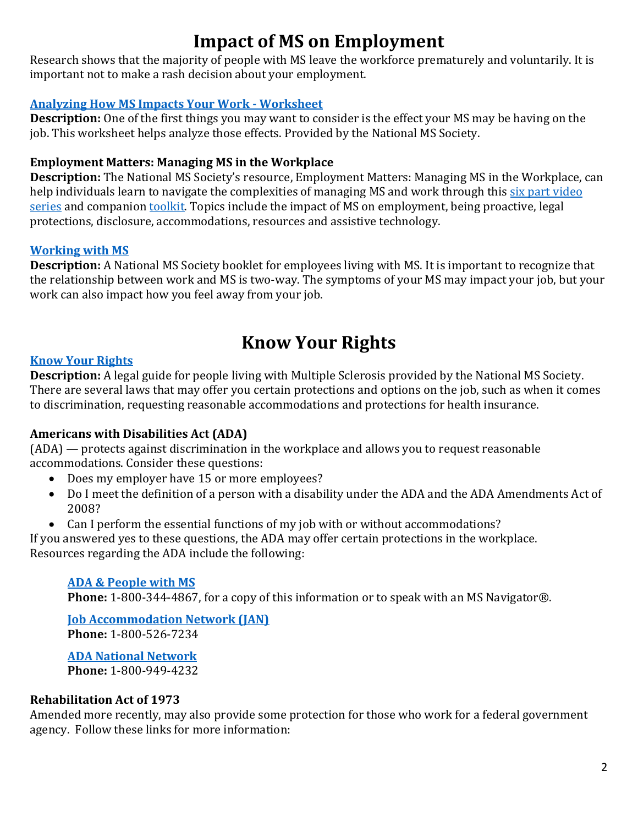# **Impact of MS on Employment**

<span id="page-1-0"></span>Research shows that the majority of people with MS leave the workforce prematurely and voluntarily. It is important not to make a rash decision about your employment.

#### **[Analyzing How MS Impacts Your Work -](#page-11-0) Worksheet**

**Description:** One of the first things you may want to consider is the effect your MS may be having on the job. This worksheet helps analyze those effects. Provided by the National MS Society.

#### **Employment Matters: Managing MS in the Workplace**

**Description:** The National MS Society's resource, Employment Matters: Managing MS in the Workplace, can help individuals learn to navigate the complexities of managing MS and work through this [six part video](https://www.nationalmssociety.org/Resources-Support/Library-Education-Programs/Educational-Videos/Employment-Insurance)  [series](https://www.nationalmssociety.org/Resources-Support/Library-Education-Programs/Educational-Videos/Employment-Insurance) and companion **toolkit**. Topics include the impact of MS on employment, being proactive, legal protections, disclosure, accommodations, resources and assistive technology.

#### **[Working with MS](http://www.nationalmssociety.org/NationalMSSociety/media/MSNationalFiles/Brochures/Brochure-Should-I-Work.pdf)**

**Description:** A National MS Society booklet for employees living with MS. It is important to recognize that the relationship between work and MS is two-way. The symptoms of your MS may impact your job, but your work can also impact how you feel away from your job.

### **Know Your Rights**

#### <span id="page-1-1"></span>**[Know Your Rights](https://www.nationalmssociety.org/NationalMSSociety/media/MSNationalFiles/Brochures/Brochure_KnowYourRights_Aug2014.pdf)**

**Description:** A legal guide for people living with Multiple Sclerosis provided by the National MS Society. There are several laws that may offer you certain protections and options on the job, such as when it comes to discrimination, requesting reasonable accommodations and protections for health insurance.

#### **Americans with Disabilities Act (ADA)**

(ADA) — protects against discrimination in the workplace and allows you to request reasonable accommodations. Consider these questions:

- Does my employer have 15 or more employees?
- Do I meet the definition of a person with a disability under the ADA and the ADA Amendments Act of 2008?
- Can I perform the essential functions of my job with or without accommodations?

If you answered yes to these questions, the ADA may offer certain protections in the workplace. Resources regarding the ADA include the following:

#### **[ADA & People with MS](https://www.nationalmssociety.org/NationalMSSociety/media/MSNationalFiles/Brochures/Brochure-ADA-and-People-with-MS.pdf)**

**Phone:** 1-800-344-4867, for a copy of this information or to speak with an MS Navigator®.

#### **[Job Accommodation Network \(JAN\)](https://askjan.org/ADA-Library.cfm) Phone:** 1-800-526-7234

**[ADA National Network](https://adata.org/) Phone:** 1-800-949-4232

#### **Rehabilitation Act of 1973**

Amended more recently, may also provide some protection for those who work for a federal government agency. Follow these links for more information: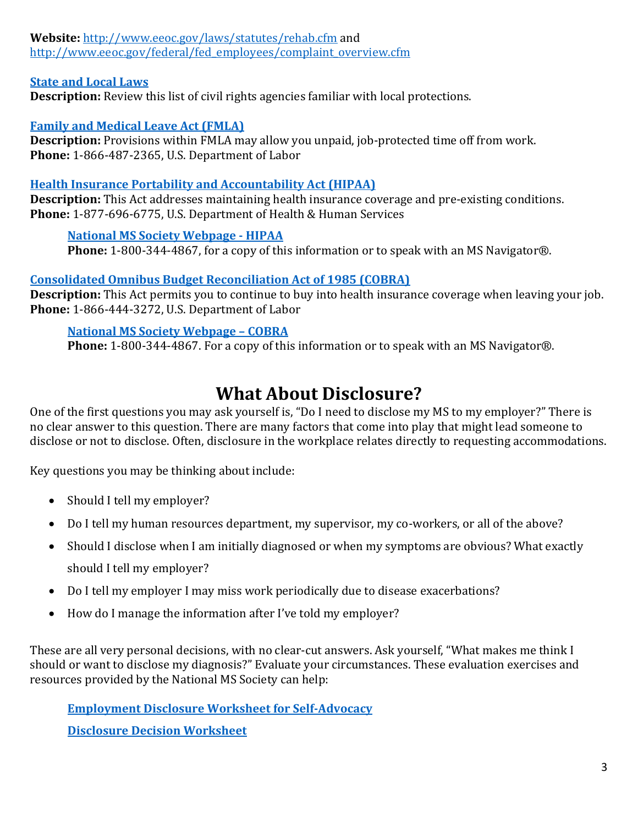**Website:** <http://www.eeoc.gov/laws/statutes/rehab.cfm> and [http://www.eeoc.gov/federal/fed\\_employees/complaint\\_overview.cfm](http://www.eeoc.gov/federal/fed_employees/complaint_overview.cfm)

#### **[State and Local Laws](https://askjan.org/concerns/State-Human-Rights.cfm)**

**Description:** Review this list of civil rights agencies familiar with local protections.

#### **[Family and Medical Leave Act \(FMLA\)](https://www.dol.gov/general/topic/benefits-leave)**

**Description:** Provisions within FMLA may allow you unpaid, job-protected time off from work. **Phone:** 1-866-487-2365, U.S. Department of Labor

#### **[Health Insurance Portability and Accountability Act \(HIPAA\)](https://www.hhs.gov/hipaa/for-individuals/index.html)**

**Description:** This Act addresses maintaining health insurance coverage and pre-existing conditions. **Phone:** 1-877-696-6775, U.S. Department of Health & Human Services

#### **[National MS Society Webpage -](https://www.nationalmssociety.org/Living-Well-With-MS/Work-and-Home/Insurance-and-Financial-Information/Health-Insurance/Job-Based-Health-Insurance/HIPAA) HIPAA**

**Phone:** 1-800-344-4867, for a copy of this information or to speak with an MS Navigator®.

#### **[Consolidated Omnibus Budget Reconciliation Act of 1985 \(COBRA\)](https://www.dol.gov/general/topic/health-plans/cobra)**

**Description:** This Act permits you to continue to buy into health insurance coverage when leaving your job. **Phone:** 1-866-444-3272, U.S. Department of Labor

#### **[National MS Society Webpage](https://www.nationalmssociety.org/Living-Well-With-MS/Work-and-Home/Insurance-and-Financial-Information/Health-Insurance/Job-Based-Health-Insurance/COBRA) – COBRA**

**Phone:** 1-800-344-4867. For a copy of this information or to speak with an MS Navigator®.

# **What About Disclosure?**

<span id="page-2-0"></span>One of the first questions you may ask yourself is, "Do I need to disclose my MS to my employer?" There is no clear answer to this question. There are many factors that come into play that might lead someone to disclose or not to disclose. Often, disclosure in the workplace relates directly to requesting accommodations.

Key questions you may be thinking about include:

- Should I tell my employer?
- Do I tell my human resources department, my supervisor, my co-workers, or all of the above?
- Should I disclose when I am initially diagnosed or when my symptoms are obvious? What exactly should I tell my employer?
- Do I tell my employer I may miss work periodically due to disease exacerbations?
- How do I manage the information after I've told my employer?

These are all very personal decisions, with no clear-cut answers. Ask yourself, "What makes me think I should or want to disclose my diagnosis?" Evaluate your circumstances. These evaluation exercises and resources provided by the National MS Society can help:

**[Employment Disclosure Worksheet for Self-Advocacy](#page-14-0)**

**[Disclosure Decision Worksheet](https://www.nationalmssociety.org/NationalMSSociety/media/MSNationalFiles/Brochures/Worksheet-Disclosure.pdf)**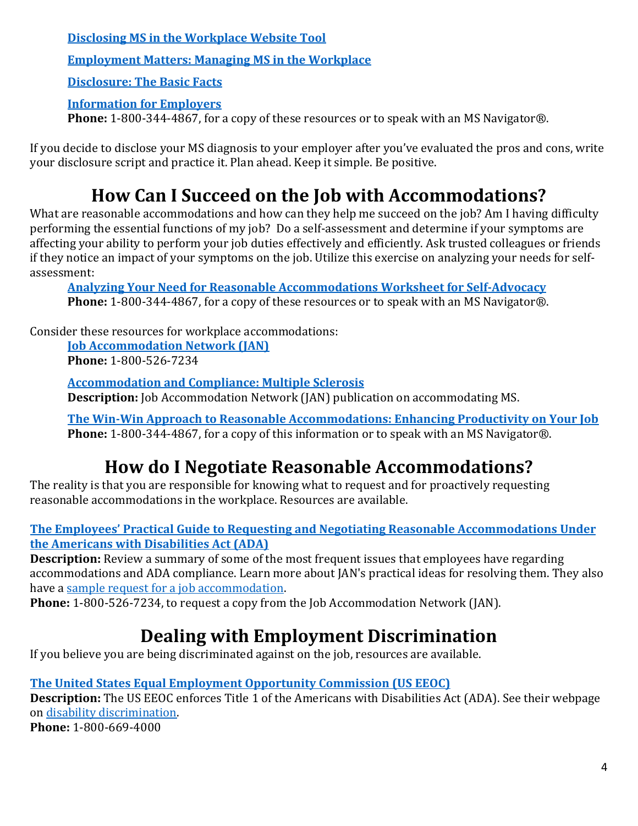**[Disclosing MS in the Workplace Website](https://www.nationalmssociety.org/Living-Well-With-MS/Work-and-Home/Employment/Disclosure-Decisions) Tool** 

**[Employment Matters: Managing MS in the Workplace](https://www.nationalmssociety.org/Resources-Support/Library-Education-Programs/Educational-Videos/Employment-Insurance)**

**[Disclosure: The Basic Facts](https://www.nationalmssociety.org/NationalMSSociety/media/MSNationalFiles/Brochures/Brochure-Disclosure-BasicFacts-FINAL.pdf)**

#### **[Information for Employers](https://www.nationalmssociety.org/NationalMSSociety/media/MSNationalFiles/Brochures/Brochure-Information-for-Employers.pdf)**

**Phone:** 1-800-344-4867, for a copy of these resources or to speak with an MS Navigator®.

If you decide to disclose your MS diagnosis to your employer after you've evaluated the pros and cons, write your disclosure script and practice it. Plan ahead. Keep it simple. Be positive.

# **How Can I Succeed on the Job with Accommodations?**

<span id="page-3-0"></span>What are reasonable accommodations and how can they help me succeed on the job? Am I having difficulty performing the essential functions of my job? Do a self-assessment and determine if your symptoms are affecting your ability to perform your job duties effectively and efficiently. Ask trusted colleagues or friends if they notice an impact of your symptoms on the job. Utilize this exercise on analyzing your needs for selfassessment:

**[Analyzing Your Need for Reasonable Accommodations](https://www.nationalmssociety.org/NationalMSSociety/media/MSNationalFiles/Brochures/SA-Employment-Need-for-Accomm.doc) Worksheet for Self-Advocacy Phone:** 1-800-344-4867, for a copy of these resources or to speak with an MS Navigator®.

Consider these resources for workplace accommodations:

**[Job Accommodation Network \(JAN\)](https://askjan.org/ADA-Library.cfm) Phone:** 1-800-526-7234

**[Accommodation and Compliance: Multiple Sclerosis](https://askjan.org/disabilities/Multiple-Sclerosis.cfm?cssearch=1475931_1) Description:** Job Accommodation Network (JAN) publication on accommodating MS.

**[The Win-Win Approach to Reasonable Accommodations: Enhancing Productivity on Your Job](https://www.nationalmssociety.org/NationalMSSociety/media/MSNationalFiles/Brochures/Brochure-Win-Win-Approach-to-Reasonable-Accomodations-Enhancing-Productivity-on-Your-Job.pdf) Phone:** 1-800-344-4867, for a copy of this information or to speak with an MS Navigator®.

# **How do I Negotiate Reasonable Accommodations?**

<span id="page-3-1"></span>The reality is that you are responsible for knowing what to request and for proactively requesting reasonable accommodations in the workplace. Resources are available.

**[The Employees' Practical Guide to Requesting and Negotiating Reasonable Accommodations](https://askjan.org/publications/individuals/employee-guide.cfm) Under [the Americans with Disabilities Act \(ADA\)](https://askjan.org/publications/individuals/employee-guide.cfm)**

**Description:** Review a summary of some of the most frequent issues that employees have regarding accommodations and ADA compliance. Learn more about JAN's practical ideas for resolving them. They also have a [sample request for a job accommodation.](https://askjan.org/media/accommrequestltr.cfm) 

**Phone:** 1-800-526-7234, to request a copy from the Job Accommodation Network (JAN).

# **Dealing with Employment Discrimination**

<span id="page-3-2"></span>If you believe you are being discriminated against on the job, resources are available.

#### **[The United States Equal Employment Opportunity Commission \(US EEOC\)](https://www.eeoc.gov/)**

**Description:** The US EEOC enforces Title 1 of the Americans with Disabilities Act (ADA). See their webpage on [disability discrimination.](https://www.eeoc.gov/disability-discrimination) **Phone:** 1-800-669-4000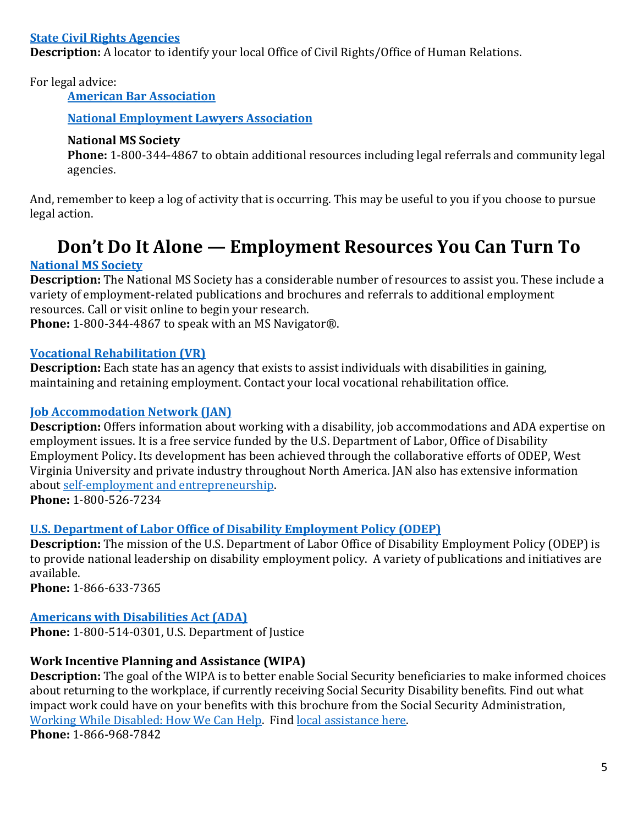#### **[State Civil Rights Agencies](https://askjan.org/concerns/State-Human-Rights.cfm)**

**Description:** A locator to identify your local Office of Civil Rights/Office of Human Relations.

For legal advice:

**[American Bar Association](https://www.americanbar.org/groups/legal_services/flh-home/)**

**[National Employment Lawyers Association](https://exchange.nela.org/memberdirectory/findalawyer)**

#### **National MS Society**

**Phone:** 1-800-344-4867 to obtain additional resources including legal referrals and community legal agencies.

And, remember to keep a log of activity that is occurring. This may be useful to you if you choose to pursue legal action.

# **Don't Do It Alone — Employment Resources You Can Turn To**

#### <span id="page-4-0"></span>**[National MS Society](https://www.nationalmssociety.org/Living-Well-With-MS/Work-and-Home/Employment)**

**Description:** The National MS Society has a considerable number of resources to assist you. These include a variety of employment-related publications and brochures and referrals to additional employment resources. Call or visit online to begin your research.

**Phone:** 1-800-344-4867 to speak with an MS Navigator®.

#### **[Vocational Rehabilitation \(VR\)](https://askjan.org/concerns/State-Vocational-Rehabilitation-Agencies.cfm)**

**Description:** Each state has an agency that exists to assist individuals with disabilities in gaining, maintaining and retaining employment. Contact your local vocational rehabilitation office.

#### **[Job Accommodation Network \(JAN\)](https://askjan.org/)**

**Description:** Offers information about working with a disability, job accommodations and ADA expertise on employment issues. It is a free service funded by the U.S. Department of Labor, Office of Disability Employment Policy. Its development has been achieved through the collaborative efforts of ODEP, West Virginia University and private industry throughout North America. JAN also has extensive information about [self-employment and entrepreneurship.](https://askjan.org/info-by-role.cfm#for-individuals:entrepreneurship)

**Phone:** 1-800-526-7234

#### **[U.S. Department of Labor Office of Disability Employment Policy \(ODEP\)](https://www.dol.gov/agencies/odep)**

**Description:** The mission of the U.S. Department of Labor Office of Disability Employment Policy (ODEP) is to provide national leadership on disability employment policy. A variety of publications and initiatives are available.

**Phone:** 1-866-633-7365

#### **[Americans with Disabilities Act \(ADA\)](https://www.ada.gov/)**

**Phone:** 1-800-514-0301, U.S. Department of Justice

#### **Work Incentive Planning and Assistance (WIPA)**

**Description:** The goal of the WIPA is to better enable Social Security beneficiaries to make informed choices about returning to the workplace, if currently receiving Social Security Disability benefits. Find out what impact work could have on your benefits with this brochure from the Social Security Administration, [Working While Disabled: How We Can Help.](https://www.ssa.gov/pubs/EN-05-10095.pdf) Find [local assistance](https://choosework.ssa.gov/findhelp/) here. **Phone:** 1-866-968-7842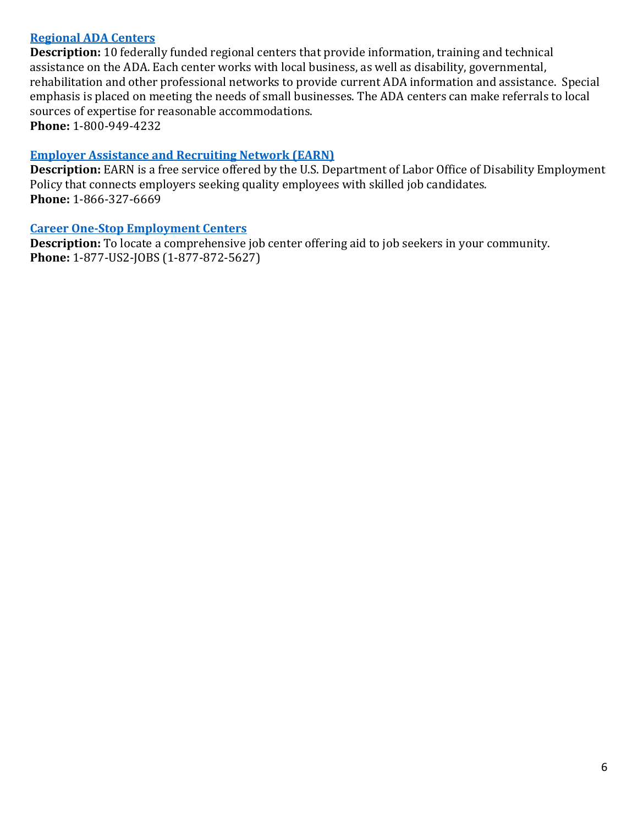#### **[Regional ADA Centers](https://adata.org/)**

**Description:** 10 federally funded regional centers that provide information, training and technical assistance on the ADA. Each center works with local business, as well as disability, governmental, rehabilitation and other professional networks to provide current ADA information and assistance. Special emphasis is placed on meeting the needs of small businesses. The ADA centers can make referrals to local sources of expertise for reasonable accommodations. **Phone:** 1-800-949-4232

#### **[Employer Assistance and Recruiting Network \(EARN\)](https://askearn.org/)**

**Description:** EARN is a free service offered by the U.S. Department of Labor Office of Disability Employment Policy that connects employers seeking quality employees with skilled job candidates. **Phone:** 1-866-327-6669

#### **[Career One-Stop Employment Centers](https://www.careeronestop.org/LocalHelp/service-locator.aspx)**

**Description:** To locate a comprehensive job center offering aid to job seekers in your community. **Phone:** 1-877-US2-JOBS (1-877-872-5627)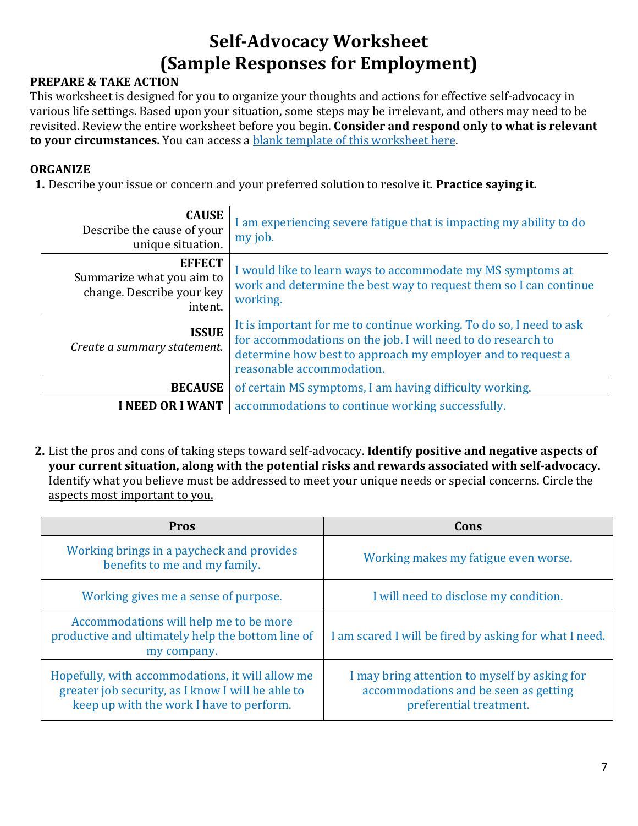# **Self-Advocacy Worksheet (Sample Responses for Employment)**

#### <span id="page-6-0"></span>**PREPARE & TAKE ACTION**

This worksheet is designed for you to organize your thoughts and actions for effective self-advocacy in various life settings. Based upon your situation, some steps may be irrelevant, and others may need to be revisited. Review the entire worksheet before you begin. **Consider and respond only to what is relevant to your circumstances.** You can access a [blank template of this worksheet here.](https://www.nationalmssociety.org/NationalMSSociety/media/MSNationalFiles/Brochures/Paper-Self-Advocacy-Worksheet.pdf)

#### **ORGANIZE**

**1.** Describe your issue or concern and your preferred solution to resolve it. **Practice saying it.**

| <b>CAUSE</b><br>Describe the cause of your<br>unique situation.                    | I am experiencing severe fatigue that is impacting my ability to do<br>my job.                                                                                                                                                  |
|------------------------------------------------------------------------------------|---------------------------------------------------------------------------------------------------------------------------------------------------------------------------------------------------------------------------------|
| <b>EFFECT</b><br>Summarize what you aim to<br>change. Describe your key<br>intent. | I would like to learn ways to accommodate my MS symptoms at<br>work and determine the best way to request them so I can continue<br>working.                                                                                    |
| <b>ISSUE</b><br>Create a summary statement.                                        | It is important for me to continue working. To do so, I need to ask<br>for accommodations on the job. I will need to do research to<br>determine how best to approach my employer and to request a<br>reasonable accommodation. |
| <b>BECAUSE</b>                                                                     | of certain MS symptoms, I am having difficulty working.                                                                                                                                                                         |
| <b>I NEED OR I WANT</b>                                                            | accommodations to continue working successfully.                                                                                                                                                                                |

**2.** List the pros and cons of taking steps toward self-advocacy. **Identify positive and negative aspects of your current situation, along with the potential risks and rewards associated with self-advocacy.**  Identify what you believe must be addressed to meet your unique needs or special concerns. Circle the aspects most important to you.

| <b>Pros</b>                                                                                                                                       | Cons                                                                                                              |
|---------------------------------------------------------------------------------------------------------------------------------------------------|-------------------------------------------------------------------------------------------------------------------|
| Working brings in a paycheck and provides<br>benefits to me and my family.                                                                        | Working makes my fatigue even worse.                                                                              |
| Working gives me a sense of purpose.                                                                                                              | I will need to disclose my condition.                                                                             |
| Accommodations will help me to be more<br>productive and ultimately help the bottom line of<br>my company.                                        | I am scared I will be fired by asking for what I need.                                                            |
| Hopefully, with accommodations, it will allow me<br>greater job security, as I know I will be able to<br>keep up with the work I have to perform. | I may bring attention to myself by asking for<br>accommodations and be seen as getting<br>preferential treatment. |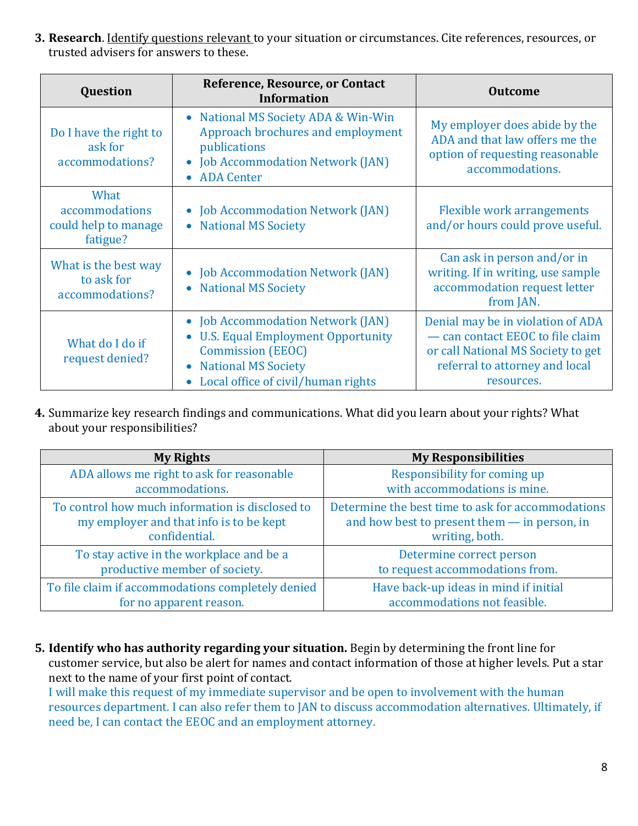**3. Research**. Identify questions relevant to your situation or circumstances. Cite references, resources, or trusted advisers for answers to these.

| Question                                                   | Reference, Resource, or Contact<br><b>Information</b>                                                                                                                                                                | <b>Outcome</b>                                                                                                                                              |
|------------------------------------------------------------|----------------------------------------------------------------------------------------------------------------------------------------------------------------------------------------------------------------------|-------------------------------------------------------------------------------------------------------------------------------------------------------------|
| Do I have the right to<br>ask for<br>accommodations?       | • National MS Society ADA & Win-Win<br>Approach brochures and employment<br>publications<br>• Job Accommodation Network (JAN)<br><b>ADA</b> Center<br>$\bullet$                                                      | My employer does abide by the<br>ADA and that law offers me the<br>option of requesting reasonable<br>accommodations.                                       |
| What<br>accommodations<br>could help to manage<br>fatigue? | • Job Accommodation Network (JAN)<br><b>National MS Society</b><br>$\bullet$                                                                                                                                         | <b>Flexible work arrangements</b><br>and/or hours could prove useful.                                                                                       |
| What is the best way<br>to ask for<br>accommodations?      | • Job Accommodation Network (JAN)<br><b>National MS Society</b><br>$\bullet$                                                                                                                                         | Can ask in person and/or in<br>writing. If in writing, use sample<br>accommodation request letter<br>from JAN.                                              |
| What do I do if<br>request denied?                         | • Job Accommodation Network (JAN)<br><b>U.S. Equal Employment Opportunity</b><br>$\bullet$<br><b>Commission (EEOC)</b><br><b>National MS Society</b><br>$\bullet$<br>Local office of civil/human rights<br>$\bullet$ | Denial may be in violation of ADA<br>- can contact EEOC to file claim<br>or call National MS Society to get<br>referral to attorney and local<br>resources. |

**4.** Summarize key research findings and communications. What did you learn about your rights? What about your responsibilities?

| <b>My Rights</b>                                  | <b>My Responsibilities</b>                        |
|---------------------------------------------------|---------------------------------------------------|
| ADA allows me right to ask for reasonable         | Responsibility for coming up                      |
| accommodations.                                   | with accommodations is mine.                      |
| To control how much information is disclosed to   | Determine the best time to ask for accommodations |
| my employer and that info is to be kept           | and how best to present them - in person, in      |
| confidential.                                     | writing, both.                                    |
| To stay active in the workplace and be a          | Determine correct person                          |
| productive member of society.                     | to request accommodations from.                   |
| To file claim if accommodations completely denied | Have back-up ideas in mind if initial             |
| for no apparent reason.                           | accommodations not feasible.                      |

**5. Identify who has authority regarding your situation.** Begin by determining the front line for customer service, but also be alert for names and contact information of those at higher levels. Put a star next to the name of your first point of contact.

I will make this request of my immediate supervisor and be open to involvement with the human resources department. I can also refer them to JAN to discuss accommodation alternatives. Ultimately, if need be, I can contact the EEOC and an employment attorney.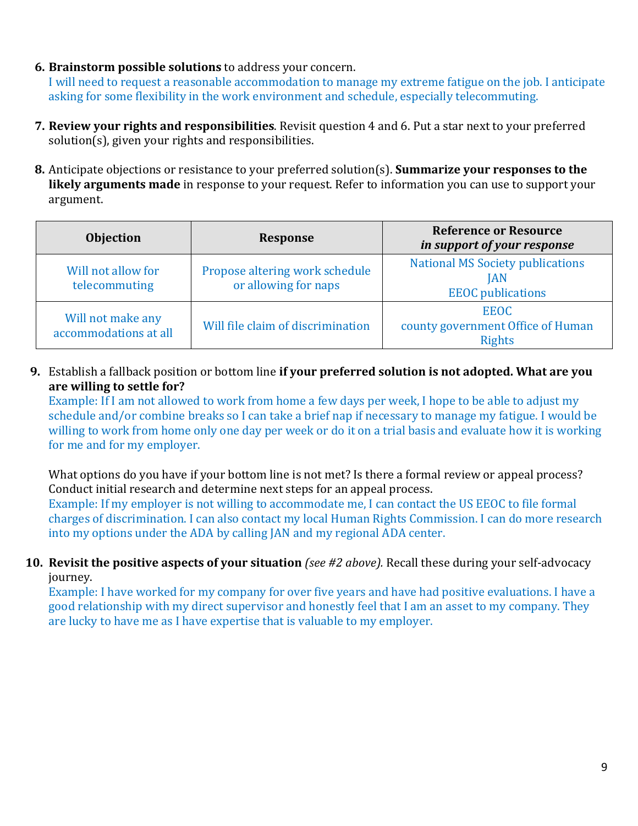**6. Brainstorm possible solutions** to address your concern.

I will need to request a reasonable accommodation to manage my extreme fatigue on the job. I anticipate asking for some flexibility in the work environment and schedule, especially telecommuting.

- **7. Review your rights and responsibilities**. Revisit question 4 and 6. Put a star next to your preferred solution(s), given your rights and responsibilities.
- **8.** Anticipate objections or resistance to your preferred solution(s). **Summarize your responses to the likely arguments made** in response to your request. Refer to information you can use to support your argument.

| <b>Objection</b>                           | <b>Response</b>                                        | <b>Reference or Resource</b><br>in support of your response                       |
|--------------------------------------------|--------------------------------------------------------|-----------------------------------------------------------------------------------|
| Will not allow for<br>telecommuting        | Propose altering work schedule<br>or allowing for naps | <b>National MS Society publications</b><br><b>IAN</b><br><b>EEOC</b> publications |
| Will not make any<br>accommodations at all | Will file claim of discrimination                      | <b>EEOC</b><br>county government Office of Human<br><b>Rights</b>                 |

**9.** Establish a fallback position or bottom line **if your preferred solution is not adopted. What are you are willing to settle for?** 

Example: If I am not allowed to work from home a few days per week, I hope to be able to adjust my schedule and/or combine breaks so I can take a brief nap if necessary to manage my fatigue. I would be willing to work from home only one day per week or do it on a trial basis and evaluate how it is working for me and for my employer.

What options do you have if your bottom line is not met? Is there a formal review or appeal process? Conduct initial research and determine next steps for an appeal process.

Example: If my employer is not willing to accommodate me, I can contact the US EEOC to file formal charges of discrimination. I can also contact my local Human Rights Commission. I can do more research into my options under the ADA by calling JAN and my regional ADA center.

**10. Revisit the positive aspects of your situation** *(see #2 above).* Recall these during your self-advocacy journey.

Example: I have worked for my company for over five years and have had positive evaluations. I have a good relationship with my direct supervisor and honestly feel that I am an asset to my company. They are lucky to have me as I have expertise that is valuable to my employer.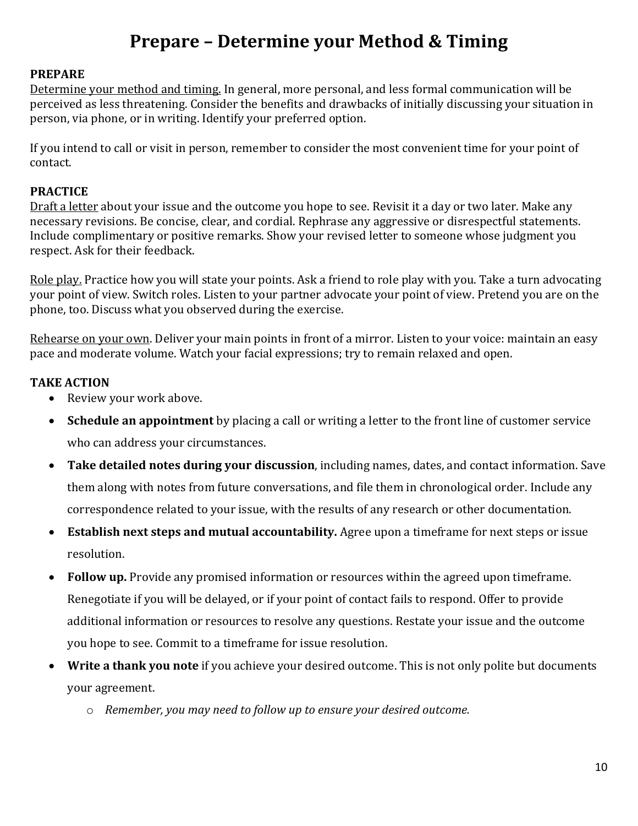## **Prepare – Determine your Method & Timing**

#### <span id="page-9-0"></span>**PREPARE**

Determine your method and timing. In general, more personal, and less formal communication will be perceived as less threatening. Consider the benefits and drawbacks of initially discussing your situation in person, via phone, or in writing. Identify your preferred option.

If you intend to call or visit in person, remember to consider the most convenient time for your point of contact.

#### **PRACTICE**

Draft a letter about your issue and the outcome you hope to see. Revisit it a day or two later. Make any necessary revisions. Be concise, clear, and cordial. Rephrase any aggressive or disrespectful statements. Include complimentary or positive remarks. Show your revised letter to someone whose judgment you respect. Ask for their feedback.

Role play. Practice how you will state your points. Ask a friend to role play with you. Take a turn advocating your point of view. Switch roles. Listen to your partner advocate your point of view. Pretend you are on the phone, too. Discuss what you observed during the exercise.

Rehearse on your own. Deliver your main points in front of a mirror. Listen to your voice: maintain an easy pace and moderate volume. Watch your facial expressions; try to remain relaxed and open.

#### **TAKE ACTION**

- Review your work above.
- **Schedule an appointment** by placing a call or writing a letter to the front line of customer service who can address your circumstances.
- **Take detailed notes during your discussion**, including names, dates, and contact information. Save them along with notes from future conversations, and file them in chronological order. Include any correspondence related to your issue, with the results of any research or other documentation.
- **Establish next steps and mutual accountability.** Agree upon a timeframe for next steps or issue resolution.
- **Follow up.** Provide any promised information or resources within the agreed upon timeframe. Renegotiate if you will be delayed, or if your point of contact fails to respond. Offer to provide additional information or resources to resolve any questions. Restate your issue and the outcome you hope to see. Commit to a timeframe for issue resolution.
- **Write a thank you note** if you achieve your desired outcome. This is not only polite but documents your agreement.
	- o *Remember, you may need to follow up to ensure your desired outcome.*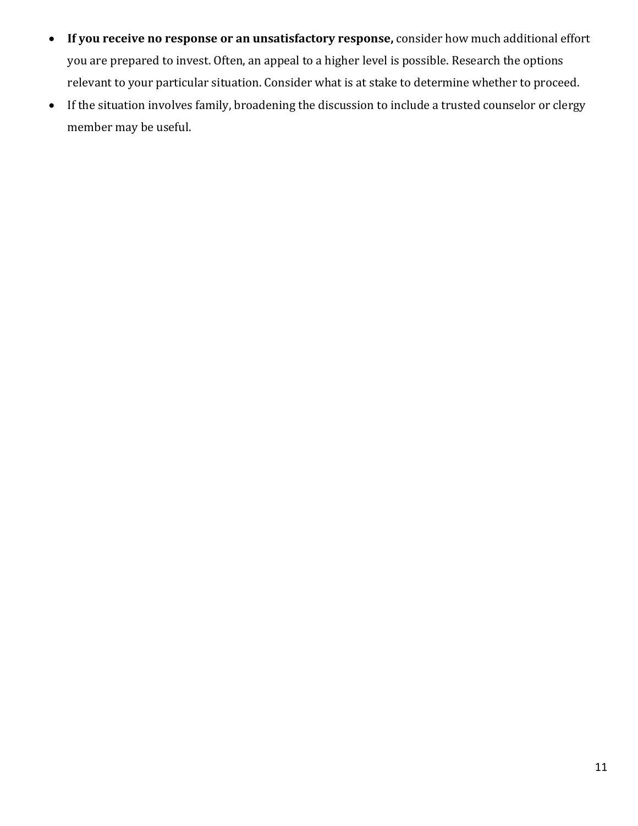- **If you receive no response or an unsatisfactory response,** consider how much additional effort you are prepared to invest. Often, an appeal to a higher level is possible. Research the options relevant to your particular situation. Consider what is at stake to determine whether to proceed.
- If the situation involves family, broadening the discussion to include a trusted counselor or clergy member may be useful.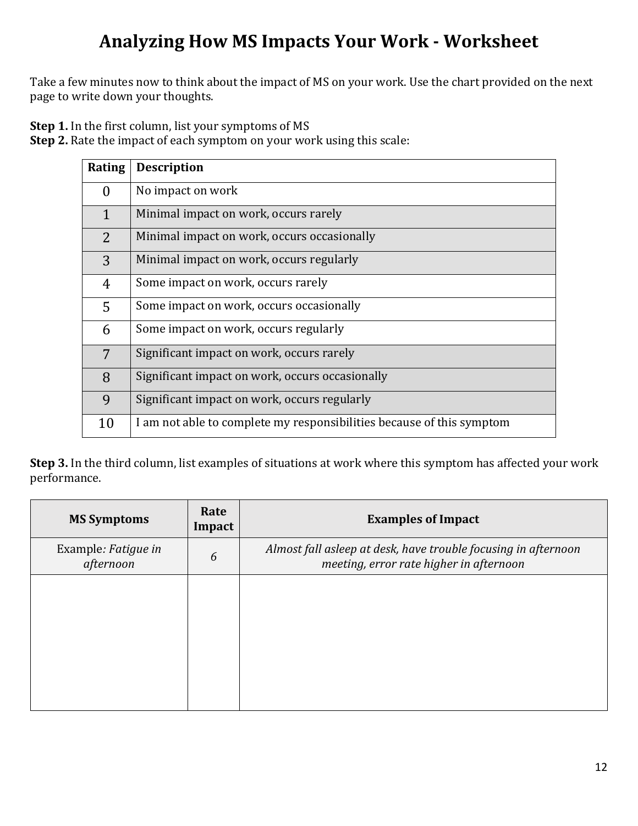# **Analyzing How MS Impacts Your Work - Worksheet**

<span id="page-11-0"></span>Take a few minutes now to think about the impact of MS on your work. Use the chart provided on the next page to write down your thoughts.

**Step 1.** In the first column, list your symptoms of MS

**Step 2.** Rate the impact of each symptom on your work using this scale:

| Rating       | <b>Description</b>                                                    |
|--------------|-----------------------------------------------------------------------|
| $\theta$     | No impact on work                                                     |
| $\mathbf{1}$ | Minimal impact on work, occurs rarely                                 |
| 2            | Minimal impact on work, occurs occasionally                           |
| 3            | Minimal impact on work, occurs regularly                              |
| 4            | Some impact on work, occurs rarely                                    |
| 5            | Some impact on work, occurs occasionally                              |
| 6            | Some impact on work, occurs regularly                                 |
| 7            | Significant impact on work, occurs rarely                             |
| 8            | Significant impact on work, occurs occasionally                       |
| 9            | Significant impact on work, occurs regularly                          |
| 10           | I am not able to complete my responsibilities because of this symptom |

**Step 3.** In the third column, list examples of situations at work where this symptom has affected your work performance.

| <b>MS Symptoms</b>               | Rate<br>Impact | <b>Examples of Impact</b>                                                                                 |
|----------------------------------|----------------|-----------------------------------------------------------------------------------------------------------|
| Example: Fatigue in<br>afternoon | 6              | Almost fall asleep at desk, have trouble focusing in afternoon<br>meeting, error rate higher in afternoon |
|                                  |                |                                                                                                           |
|                                  |                |                                                                                                           |
|                                  |                |                                                                                                           |
|                                  |                |                                                                                                           |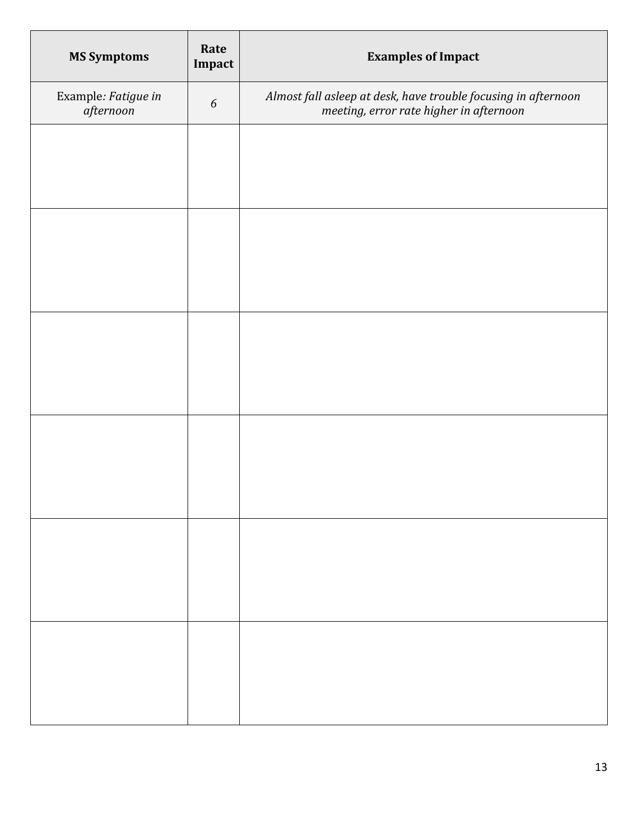| <b>MS Symptoms</b>                  | Rate<br>Impact   | <b>Examples of Impact</b>                                                                                 |
|-------------------------------------|------------------|-----------------------------------------------------------------------------------------------------------|
| Example: Fatigue in<br>$a$ fternoon | $\boldsymbol{6}$ | Almost fall asleep at desk, have trouble focusing in afternoon<br>meeting, error rate higher in afternoon |
|                                     |                  |                                                                                                           |
|                                     |                  |                                                                                                           |
|                                     |                  |                                                                                                           |
|                                     |                  |                                                                                                           |
|                                     |                  |                                                                                                           |
|                                     |                  |                                                                                                           |
|                                     |                  |                                                                                                           |
|                                     |                  |                                                                                                           |
|                                     |                  |                                                                                                           |
|                                     |                  |                                                                                                           |
|                                     |                  |                                                                                                           |
|                                     |                  |                                                                                                           |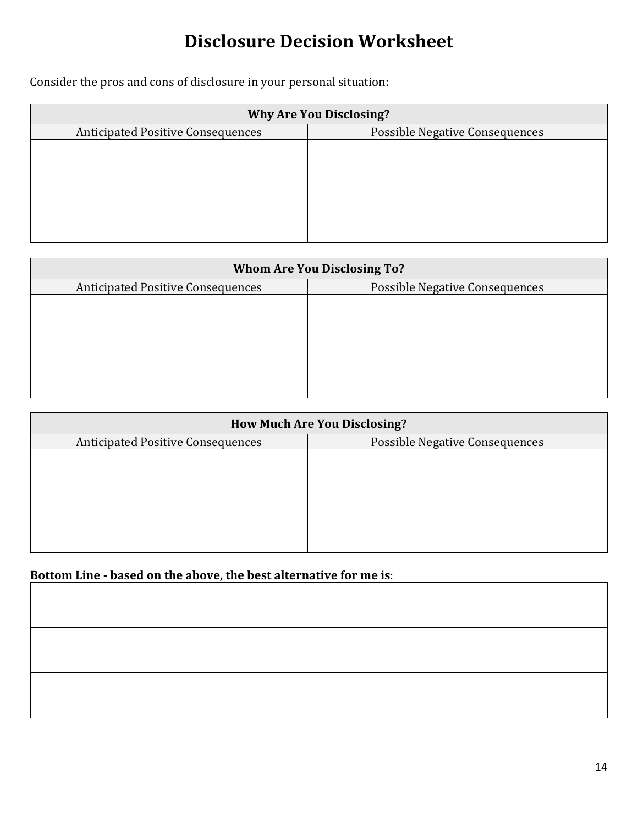# **Disclosure Decision Worksheet**

<span id="page-13-0"></span>Consider the pros and cons of disclosure in your personal situation:

| <b>Why Are You Disclosing?</b>           |                                       |  |  |
|------------------------------------------|---------------------------------------|--|--|
| <b>Anticipated Positive Consequences</b> | <b>Possible Negative Consequences</b> |  |  |
|                                          |                                       |  |  |
|                                          |                                       |  |  |
|                                          |                                       |  |  |
|                                          |                                       |  |  |
|                                          |                                       |  |  |
|                                          |                                       |  |  |
|                                          |                                       |  |  |

| <b>Whom Are You Disclosing To?</b>       |                                       |  |  |
|------------------------------------------|---------------------------------------|--|--|
| <b>Anticipated Positive Consequences</b> | <b>Possible Negative Consequences</b> |  |  |
|                                          |                                       |  |  |
|                                          |                                       |  |  |
|                                          |                                       |  |  |
|                                          |                                       |  |  |
|                                          |                                       |  |  |
|                                          |                                       |  |  |
|                                          |                                       |  |  |

| <b>How Much Are You Disclosing?</b>      |                                       |  |  |
|------------------------------------------|---------------------------------------|--|--|
| <b>Anticipated Positive Consequences</b> | <b>Possible Negative Consequences</b> |  |  |
|                                          |                                       |  |  |
|                                          |                                       |  |  |
|                                          |                                       |  |  |
|                                          |                                       |  |  |
|                                          |                                       |  |  |
|                                          |                                       |  |  |
|                                          |                                       |  |  |

#### **Bottom Line - based on the above, the best alternative for me is**: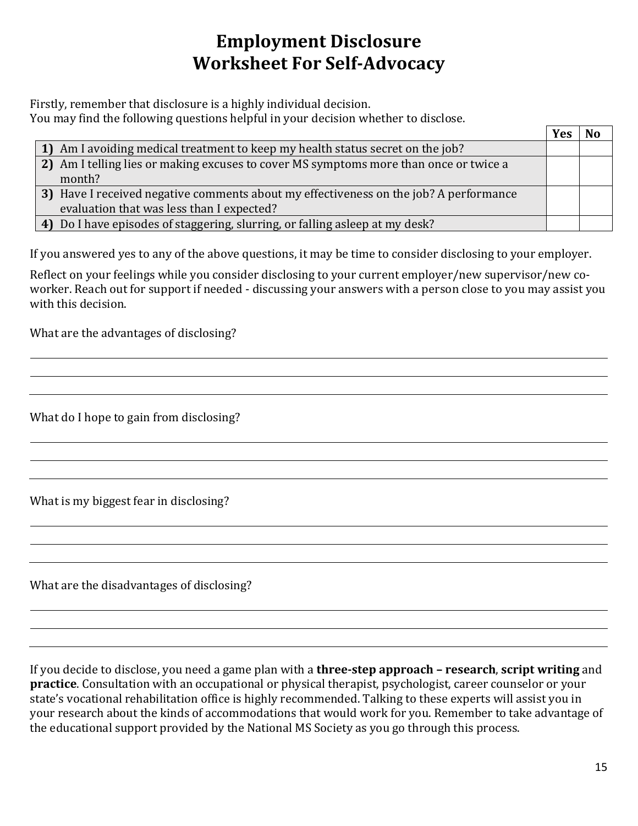# **Employment Disclosure Worksheet For Self-Advocacy**

<span id="page-14-0"></span>Firstly, remember that disclosure is a highly individual decision.

You may find the following questions helpful in your decision whether to disclose.

|                                                                                       | Yes |  |
|---------------------------------------------------------------------------------------|-----|--|
| 1) Am I avoiding medical treatment to keep my health status secret on the job?        |     |  |
| 2) Am I telling lies or making excuses to cover MS symptoms more than once or twice a |     |  |
| month?                                                                                |     |  |
| 3) Have I received negative comments about my effectiveness on the job? A performance |     |  |
| evaluation that was less than I expected?                                             |     |  |
| 4) Do I have episodes of staggering, slurring, or falling asleep at my desk?          |     |  |

If you answered yes to any of the above questions, it may be time to consider disclosing to your employer.

Reflect on your feelings while you consider disclosing to your current employer/new supervisor/new coworker. Reach out for support if needed - discussing your answers with a person close to you may assist you with this decision.

What are the advantages of disclosing?

What do I hope to gain from disclosing?

What is my biggest fear in disclosing?

What are the disadvantages of disclosing?

If you decide to disclose, you need a game plan with a **three-step approach – research**, **script writing** and **practice**. Consultation with an occupational or physical therapist, psychologist, career counselor or your state's vocational rehabilitation office is highly recommended. Talking to these experts will assist you in your research about the kinds of accommodations that would work for you. Remember to take advantage of the educational support provided by the National MS Society as you go through this process.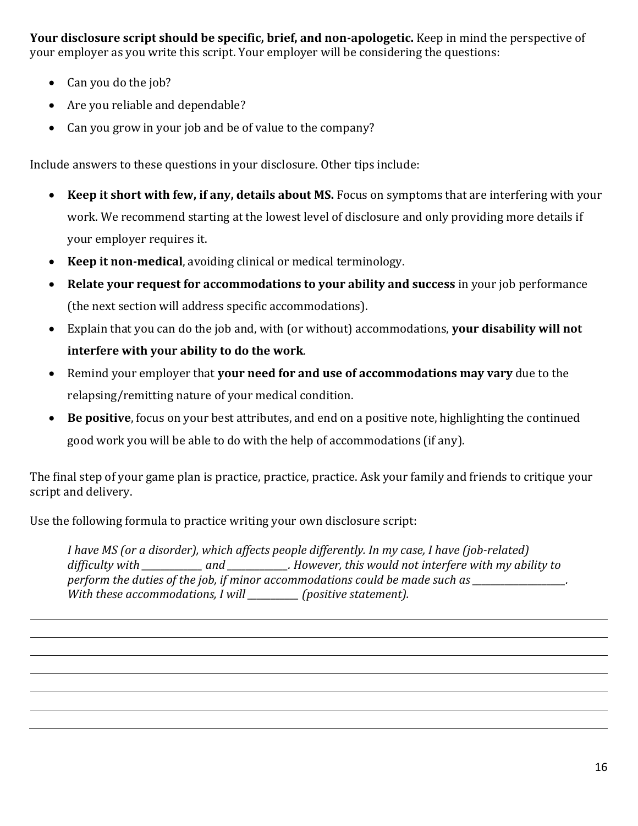**Your disclosure script should be specific, brief, and non-apologetic.** Keep in mind the perspective of your employer as you write this script. Your employer will be considering the questions:

- Can you do the job?
- Are you reliable and dependable?
- Can you grow in your job and be of value to the company?

Include answers to these questions in your disclosure. Other tips include:

- **Keep it short with few, if any, details about MS.** Focus on symptoms that are interfering with your work. We recommend starting at the lowest level of disclosure and only providing more details if your employer requires it.
- **Keep it non-medical**, avoiding clinical or medical terminology.
- **Relate your request for accommodations to your ability and success** in your job performance (the next section will address specific accommodations).
- Explain that you can do the job and, with (or without) accommodations, **your disability will not interfere with your ability to do the work**.
- Remind your employer that **your need for and use of accommodations may vary** due to the relapsing/remitting nature of your medical condition.
- **Be positive**, focus on your best attributes, and end on a positive note, highlighting the continued good work you will be able to do with the help of accommodations (if any).

The final step of your game plan is practice, practice, practice. Ask your family and friends to critique your script and delivery.

Use the following formula to practice writing your own disclosure script:

*I have MS (or a disorder), which affects people differently. In my case, I have (job-related) difficulty with \_\_\_\_\_\_\_\_\_\_\_\_\_ and \_\_\_\_\_\_\_\_\_\_\_\_\_. However, this would not interfere with my ability to*  perform the duties of the job, if minor accommodations could be made such as **with and in the duties** *With these accommodations, I will \_\_\_\_\_\_\_\_\_\_\_ (positive statement).*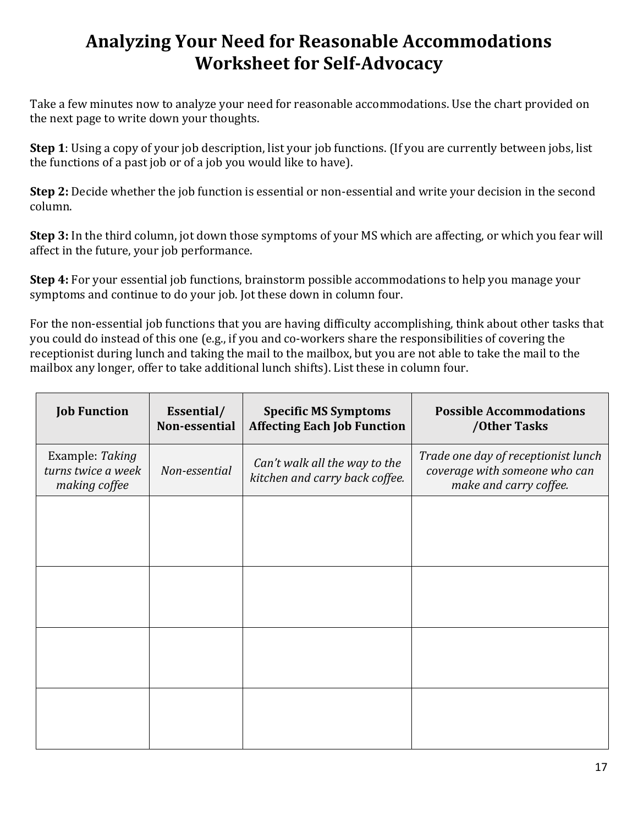# <span id="page-16-0"></span>**Analyzing Your Need for Reasonable Accommodations Worksheet for Self-Advocacy**

Take a few minutes now to analyze your need for reasonable accommodations. Use the chart provided on the next page to write down your thoughts.

**Step 1**: Using a copy of your job description, list your job functions. (If you are currently between jobs, list the functions of a past job or of a job you would like to have).

**Step 2:** Decide whether the job function is essential or non-essential and write your decision in the second column.

**Step 3:** In the third column, jot down those symptoms of your MS which are affecting, or which you fear will affect in the future, your job performance.

**Step 4:** For your essential job functions, brainstorm possible accommodations to help you manage your symptoms and continue to do your job. Jot these down in column four.

For the non-essential job functions that you are having difficulty accomplishing, think about other tasks that you could do instead of this one (e.g., if you and co-workers share the responsibilities of covering the receptionist during lunch and taking the mail to the mailbox, but you are not able to take the mail to the mailbox any longer, offer to take additional lunch shifts). List these in column four.

| <b>Job Function</b>                                    | Essential/<br>Non-essential | <b>Specific MS Symptoms</b><br><b>Affecting Each Job Function</b> | <b>Possible Accommodations</b><br>/Other Tasks                                                 |
|--------------------------------------------------------|-----------------------------|-------------------------------------------------------------------|------------------------------------------------------------------------------------------------|
| Example: Taking<br>turns twice a week<br>making coffee | Non-essential               | Can't walk all the way to the<br>kitchen and carry back coffee.   | Trade one day of receptionist lunch<br>coverage with someone who can<br>make and carry coffee. |
|                                                        |                             |                                                                   |                                                                                                |
|                                                        |                             |                                                                   |                                                                                                |
|                                                        |                             |                                                                   |                                                                                                |
|                                                        |                             |                                                                   |                                                                                                |
|                                                        |                             |                                                                   |                                                                                                |